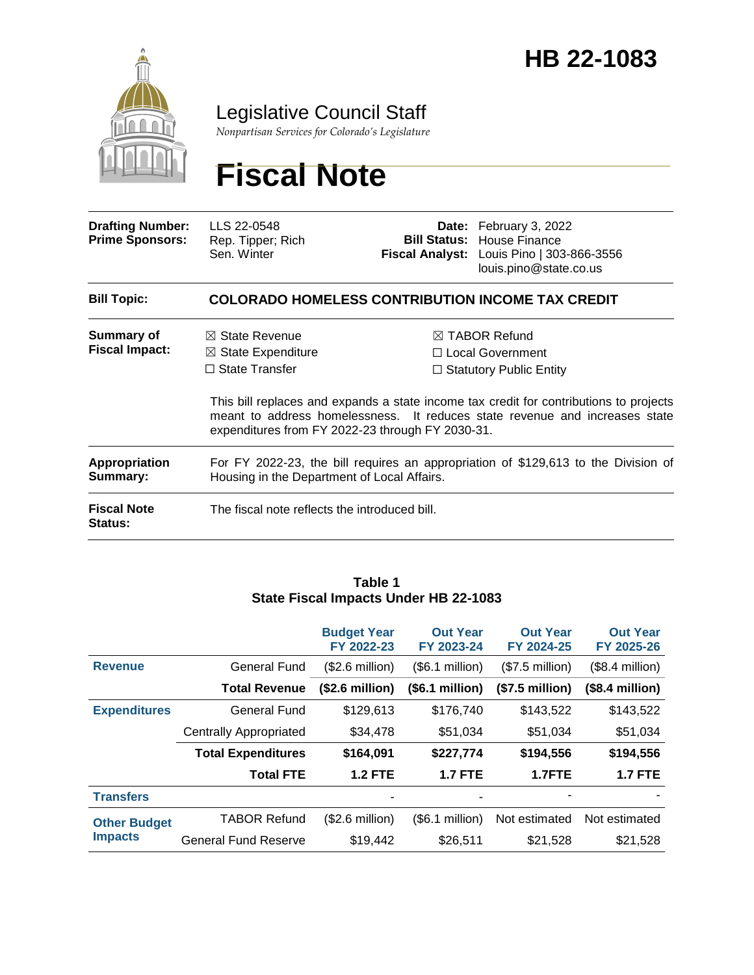

# Legislative Council Staff

*Nonpartisan Services for Colorado's Legislature*

# **Fiscal Note**

| <b>Drafting Number:</b><br><b>Prime Sponsors:</b> | LLS 22-0548<br>Rep. Tipper; Rich<br>Sen. Winter                                                                                         |  | Date: February 3, 2022<br><b>Bill Status: House Finance</b><br>Fiscal Analyst: Louis Pino   303-866-3556<br>louis.pino@state.co.us                                                                                                                        |  |  |  |  |
|---------------------------------------------------|-----------------------------------------------------------------------------------------------------------------------------------------|--|-----------------------------------------------------------------------------------------------------------------------------------------------------------------------------------------------------------------------------------------------------------|--|--|--|--|
| <b>Bill Topic:</b>                                | <b>COLORADO HOMELESS CONTRIBUTION INCOME TAX CREDIT</b>                                                                                 |  |                                                                                                                                                                                                                                                           |  |  |  |  |
| Summary of<br><b>Fiscal Impact:</b>               | $\boxtimes$ State Revenue<br>$\boxtimes$ State Expenditure<br>$\Box$ State Transfer<br>expenditures from FY 2022-23 through FY 2030-31. |  | $\boxtimes$ TABOR Refund<br>□ Local Government<br>$\Box$ Statutory Public Entity<br>This bill replaces and expands a state income tax credit for contributions to projects<br>meant to address homelessness. It reduces state revenue and increases state |  |  |  |  |
| <b>Appropriation</b><br>Summary:                  | For FY 2022-23, the bill requires an appropriation of \$129,613 to the Division of<br>Housing in the Department of Local Affairs.       |  |                                                                                                                                                                                                                                                           |  |  |  |  |
| <b>Fiscal Note</b><br>Status:                     | The fiscal note reflects the introduced bill.                                                                                           |  |                                                                                                                                                                                                                                                           |  |  |  |  |

#### **Table 1 State Fiscal Impacts Under HB 22-1083**

|                                       |                               | <b>Budget Year</b><br>FY 2022-23 | <b>Out Year</b><br>FY 2023-24 | <b>Out Year</b><br>FY 2024-25 | <b>Out Year</b><br>FY 2025-26 |
|---------------------------------------|-------------------------------|----------------------------------|-------------------------------|-------------------------------|-------------------------------|
| <b>Revenue</b>                        | <b>General Fund</b>           | $($2.6 \text{ million})$         | (\$6.1 million)               | $($7.5$ million)              | $($8.4$ million)              |
|                                       | <b>Total Revenue</b>          | (\$2.6 million)                  | (\$6.1 million)               | $($7.5$ million)              | $($8.4$ million)              |
| <b>Expenditures</b>                   | General Fund                  | \$129,613                        | \$176,740                     | \$143,522                     | \$143,522                     |
|                                       | <b>Centrally Appropriated</b> | \$34,478                         | \$51,034                      | \$51,034                      | \$51,034                      |
|                                       | <b>Total Expenditures</b>     | \$164,091                        | \$227,774                     | \$194,556                     | \$194,556                     |
|                                       | <b>Total FTE</b>              | <b>1.2 FTE</b>                   | <b>1.7 FTE</b>                | 1.7FTE                        | <b>1.7 FTE</b>                |
| <b>Transfers</b>                      |                               | ٠                                |                               |                               |                               |
| <b>Other Budget</b><br><b>Impacts</b> | <b>TABOR Refund</b>           | $($2.6 \text{ million})$         | (\$6.1 million)               | Not estimated                 | Not estimated                 |
|                                       | <b>General Fund Reserve</b>   | \$19,442                         | \$26,511                      | \$21,528                      | \$21,528                      |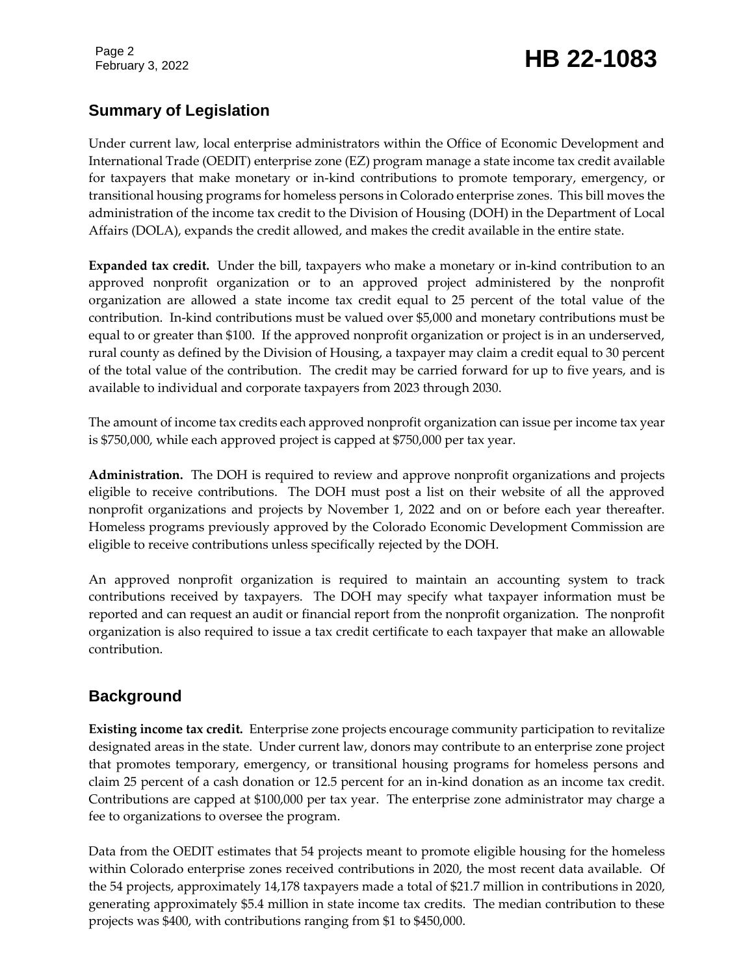# February 3, 2022 **HB 22-1083**

# **Summary of Legislation**

Under current law, local enterprise administrators within the Office of Economic Development and International Trade (OEDIT) enterprise zone (EZ) program manage a state income tax credit available for taxpayers that make monetary or in-kind contributions to promote temporary, emergency, or transitional housing programs for homeless persons in Colorado enterprise zones. This bill moves the administration of the income tax credit to the Division of Housing (DOH) in the Department of Local Affairs (DOLA), expands the credit allowed, and makes the credit available in the entire state.

**Expanded tax credit.** Under the bill, taxpayers who make a monetary or in-kind contribution to an approved nonprofit organization or to an approved project administered by the nonprofit organization are allowed a state income tax credit equal to 25 percent of the total value of the contribution. In-kind contributions must be valued over \$5,000 and monetary contributions must be equal to or greater than \$100. If the approved nonprofit organization or project is in an underserved, rural county as defined by the Division of Housing, a taxpayer may claim a credit equal to 30 percent of the total value of the contribution. The credit may be carried forward for up to five years, and is available to individual and corporate taxpayers from 2023 through 2030.

The amount of income tax credits each approved nonprofit organization can issue per income tax year is \$750,000, while each approved project is capped at \$750,000 per tax year.

**Administration.** The DOH is required to review and approve nonprofit organizations and projects eligible to receive contributions. The DOH must post a list on their website of all the approved nonprofit organizations and projects by November 1, 2022 and on or before each year thereafter. Homeless programs previously approved by the Colorado Economic Development Commission are eligible to receive contributions unless specifically rejected by the DOH.

An approved nonprofit organization is required to maintain an accounting system to track contributions received by taxpayers. The DOH may specify what taxpayer information must be reported and can request an audit or financial report from the nonprofit organization. The nonprofit organization is also required to issue a tax credit certificate to each taxpayer that make an allowable contribution.

# **Background**

**Existing income tax credit.** Enterprise zone projects encourage community participation to revitalize designated areas in the state. Under current law, donors may contribute to an enterprise zone project that promotes temporary, emergency, or transitional housing programs for homeless persons and claim 25 percent of a cash donation or 12.5 percent for an in-kind donation as an income tax credit. Contributions are capped at \$100,000 per tax year. The enterprise zone administrator may charge a fee to organizations to oversee the program.

Data from the OEDIT estimates that 54 projects meant to promote eligible housing for the homeless within Colorado enterprise zones received contributions in 2020, the most recent data available. Of the 54 projects, approximately 14,178 taxpayers made a total of \$21.7 million in contributions in 2020, generating approximately \$5.4 million in state income tax credits. The median contribution to these projects was \$400, with contributions ranging from \$1 to \$450,000.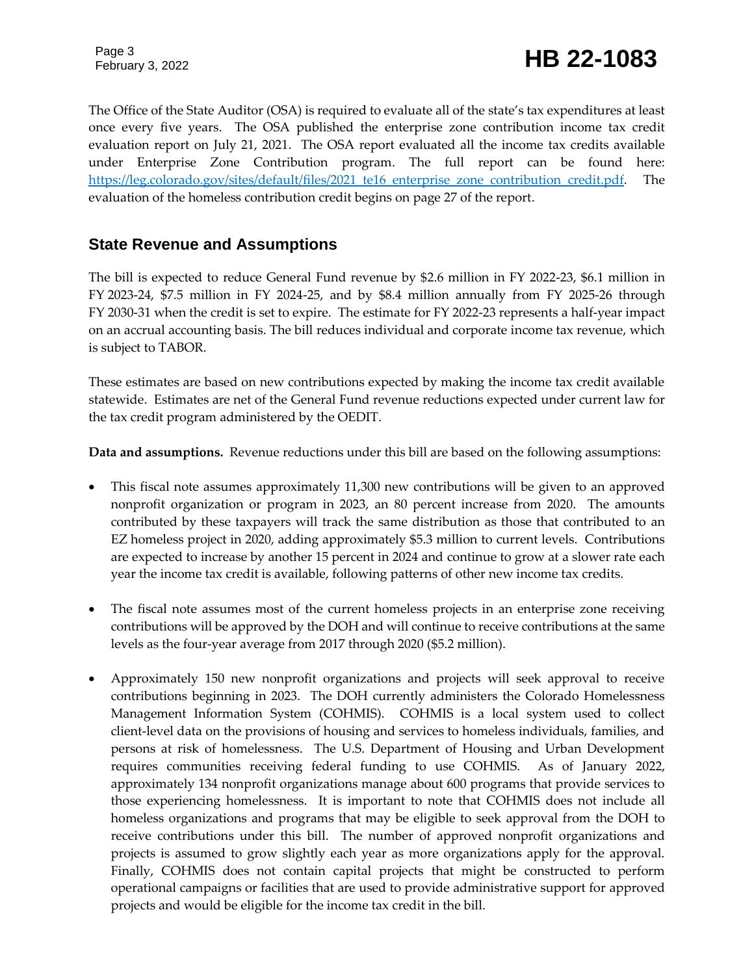The Office of the State Auditor (OSA) is required to evaluate all of the state's tax expenditures at least once every five years. The OSA published the enterprise zone contribution income tax credit evaluation report on July 21, 2021. The OSA report evaluated all the income tax credits available under Enterprise Zone Contribution program. The full report can be found here: [https://leg.colorado.gov/sites/default/files/2021\\_te16\\_enterprise\\_zone\\_contribution\\_credit.pdf.](https://leg.colorado.gov/sites/default/files/2021_te16_enterprise_zone_contribution_credit.pdf) The evaluation of the homeless contribution credit begins on page 27 of the report.

### **State Revenue and Assumptions**

The bill is expected to reduce General Fund revenue by \$2.6 million in FY 2022-23, \$6.1 million in FY 2023-24, \$7.5 million in FY 2024-25, and by \$8.4 million annually from FY 2025-26 through FY 2030-31 when the credit is set to expire. The estimate for FY 2022-23 represents a half-year impact on an accrual accounting basis. The bill reduces individual and corporate income tax revenue, which is subject to TABOR.

These estimates are based on new contributions expected by making the income tax credit available statewide. Estimates are net of the General Fund revenue reductions expected under current law for the tax credit program administered by the OEDIT.

**Data and assumptions.** Revenue reductions under this bill are based on the following assumptions:

- This fiscal note assumes approximately 11,300 new contributions will be given to an approved nonprofit organization or program in 2023, an 80 percent increase from 2020. The amounts contributed by these taxpayers will track the same distribution as those that contributed to an EZ homeless project in 2020, adding approximately \$5.3 million to current levels. Contributions are expected to increase by another 15 percent in 2024 and continue to grow at a slower rate each year the income tax credit is available, following patterns of other new income tax credits.
- The fiscal note assumes most of the current homeless projects in an enterprise zone receiving contributions will be approved by the DOH and will continue to receive contributions at the same levels as the four-year average from 2017 through 2020 (\$5.2 million).
- Approximately 150 new nonprofit organizations and projects will seek approval to receive contributions beginning in 2023. The DOH currently administers the Colorado Homelessness Management Information System (COHMIS). COHMIS is a local system used to collect client-level data on the provisions of housing and services to homeless individuals, families, and persons at risk of homelessness. The U.S. Department of Housing and Urban Development requires communities receiving federal funding to use COHMIS. As of January 2022, approximately 134 nonprofit organizations manage about 600 programs that provide services to those experiencing homelessness. It is important to note that COHMIS does not include all homeless organizations and programs that may be eligible to seek approval from the DOH to receive contributions under this bill. The number of approved nonprofit organizations and projects is assumed to grow slightly each year as more organizations apply for the approval. Finally, COHMIS does not contain capital projects that might be constructed to perform operational campaigns or facilities that are used to provide administrative support for approved projects and would be eligible for the income tax credit in the bill.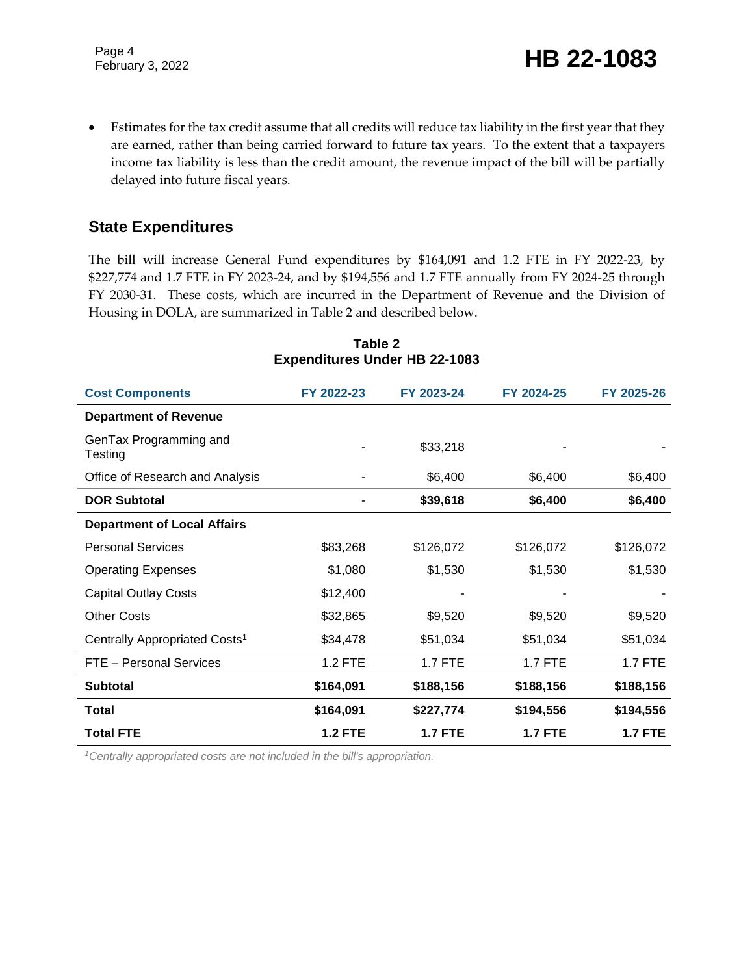Estimates for the tax credit assume that all credits will reduce tax liability in the first year that they are earned, rather than being carried forward to future tax years. To the extent that a taxpayers income tax liability is less than the credit amount, the revenue impact of the bill will be partially delayed into future fiscal years.

### **State Expenditures**

The bill will increase General Fund expenditures by \$164,091 and 1.2 FTE in FY 2022-23, by \$227,774 and 1.7 FTE in FY 2023-24, and by \$194,556 and 1.7 FTE annually from FY 2024-25 through FY 2030-31. These costs, which are incurred in the Department of Revenue and the Division of Housing in DOLA, are summarized in Table 2 and described below.

| <b>Cost Components</b>                    | FY 2022-23     | FY 2023-24     | FY 2024-25     | FY 2025-26     |
|-------------------------------------------|----------------|----------------|----------------|----------------|
| <b>Department of Revenue</b>              |                |                |                |                |
| GenTax Programming and<br>Testing         |                | \$33,218       |                |                |
| Office of Research and Analysis           |                | \$6,400        | \$6,400        | \$6,400        |
| <b>DOR Subtotal</b>                       |                | \$39,618       | \$6,400        | \$6,400        |
| <b>Department of Local Affairs</b>        |                |                |                |                |
| <b>Personal Services</b>                  | \$83,268       | \$126,072      | \$126,072      | \$126,072      |
| <b>Operating Expenses</b>                 | \$1,080        | \$1,530        | \$1,530        | \$1,530        |
| <b>Capital Outlay Costs</b>               | \$12,400       |                |                |                |
| <b>Other Costs</b>                        | \$32,865       | \$9,520        | \$9,520        | \$9,520        |
| Centrally Appropriated Costs <sup>1</sup> | \$34,478       | \$51,034       | \$51,034       | \$51,034       |
| FTE - Personal Services                   | 1.2 FTE        | 1.7 FTE        | <b>1.7 FTE</b> | $1.7$ FTE      |
| <b>Subtotal</b>                           | \$164,091      | \$188,156      | \$188,156      | \$188,156      |
| <b>Total</b>                              | \$164,091      | \$227,774      | \$194,556      | \$194,556      |
| <b>Total FTE</b>                          | <b>1.2 FTE</b> | <b>1.7 FTE</b> | <b>1.7 FTE</b> | <b>1.7 FTE</b> |

#### **Table 2 Expenditures Under HB 22-1083**

*1Centrally appropriated costs are not included in the bill's appropriation.*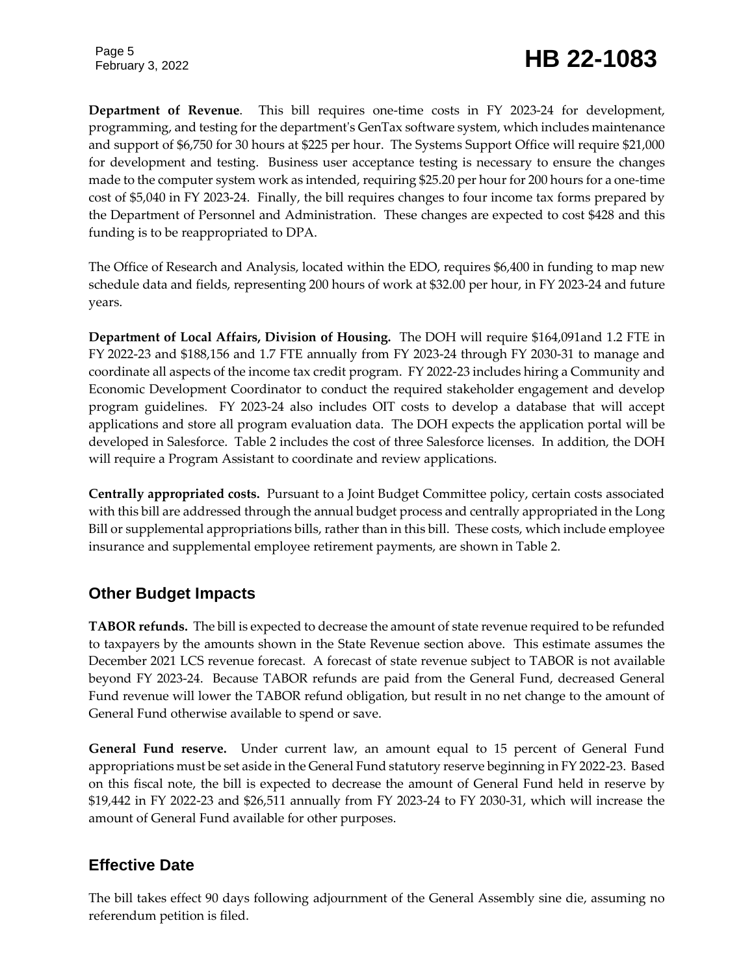# February 3, 2022 **HB 22-1083**

**Department of Revenue**. This bill requires one-time costs in FY 2023-24 for development, programming, and testing for the department's GenTax software system, which includes maintenance and support of \$6,750 for 30 hours at \$225 per hour. The Systems Support Office will require \$21,000 for development and testing. Business user acceptance testing is necessary to ensure the changes made to the computer system work as intended, requiring \$25.20 per hour for 200 hours for a one-time cost of \$5,040 in FY 2023-24. Finally, the bill requires changes to four income tax forms prepared by the Department of Personnel and Administration. These changes are expected to cost \$428 and this funding is to be reappropriated to DPA.

The Office of Research and Analysis, located within the EDO, requires \$6,400 in funding to map new schedule data and fields, representing 200 hours of work at \$32.00 per hour, in FY 2023-24 and future years.

**Department of Local Affairs, Division of Housing.** The DOH will require \$164,091and 1.2 FTE in FY 2022-23 and \$188,156 and 1.7 FTE annually from FY 2023-24 through FY 2030-31 to manage and coordinate all aspects of the income tax credit program. FY 2022-23 includes hiring a Community and Economic Development Coordinator to conduct the required stakeholder engagement and develop program guidelines. FY 2023-24 also includes OIT costs to develop a database that will accept applications and store all program evaluation data. The DOH expects the application portal will be developed in Salesforce. Table 2 includes the cost of three Salesforce licenses. In addition, the DOH will require a Program Assistant to coordinate and review applications.

**Centrally appropriated costs.** Pursuant to a Joint Budget Committee policy, certain costs associated with this bill are addressed through the annual budget process and centrally appropriated in the Long Bill or supplemental appropriations bills, rather than in this bill. These costs, which include employee insurance and supplemental employee retirement payments, are shown in Table 2.

# **Other Budget Impacts**

**TABOR refunds.** The bill is expected to decrease the amount of state revenue required to be refunded to taxpayers by the amounts shown in the State Revenue section above. This estimate assumes the December 2021 LCS revenue forecast. A forecast of state revenue subject to TABOR is not available beyond FY 2023-24. Because TABOR refunds are paid from the General Fund, decreased General Fund revenue will lower the TABOR refund obligation, but result in no net change to the amount of General Fund otherwise available to spend or save.

**General Fund reserve.** Under current law, an amount equal to 15 percent of General Fund appropriations must be set aside in the General Fund statutory reserve beginning in FY 2022-23. Based on this fiscal note, the bill is expected to decrease the amount of General Fund held in reserve by \$19,442 in FY 2022-23 and \$26,511 annually from FY 2023-24 to FY 2030-31, which will increase the amount of General Fund available for other purposes.

### **Effective Date**

The bill takes effect 90 days following adjournment of the General Assembly sine die, assuming no referendum petition is filed.